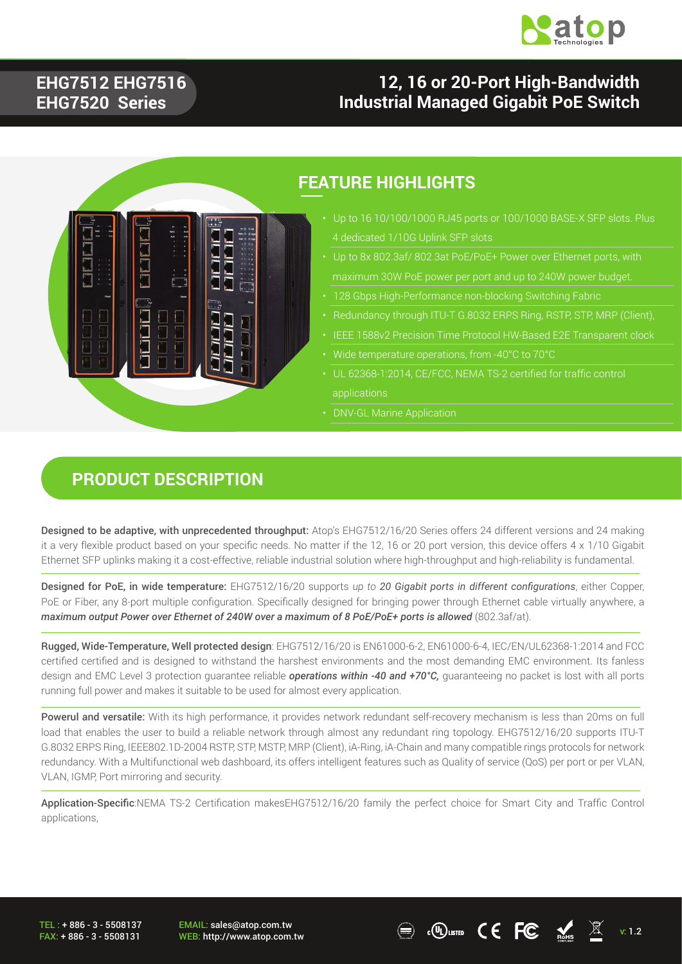

### **EHG7512 EHG7516 EHG7520 Series**

### **12, 16 or 20-Port High-Bandwidth Industrial Managed Gigabit PoE Switch**



#### **FEATURE HIGHLIGHTS**

- 4 dedicated 1/10G Uplink SFP slots
- 
- 
- 
- 
- 
- UL 62368-1:2014, CE/FCC, NEMA TS-2 certified for traffic control applications
- DNV-GL Marine Application

### **PRODUCT DESCRIPTION**

Designed to be adaptive, with unprecedented throughput: Atop's EHG7512/16/20 Series offers 24 different versions and 24 making it a very flexible product based on your specific needs. No matter if the 12, 16 or 20 port version, this device offers 4 x 1/10 Gigabit Ethernet SFP uplinks making it a cost-effective, reliable industrial solution where high-throughput and high-reliability is fundamental.

Designed for PoE, in wide temperature: EHG7512/16/20 supports *up to 20 Gigabit ports in different configurations*, either Copper, PoE or Fiber, any 8-port multiple configuration. Specifically designed for bringing power through Ethernet cable virtually anywhere, a *maximum output Power over Ethernet of 240W over a maximum of 8 PoE/PoE+ ports is allowed (802.3af/at).* 

Rugged, Wide-Temperature, Well protected design: EHG7512/16/20 is EN61000-6-2, EN61000-6-4, IEC/EN/UL62368-1:2014 and FCC certified certified and is designed to withstand the harshest environments and the most demanding EMC environment. Its fanless design and EMC Level 3 protection guarantee reliable *operations within -40 and +70°C,* guaranteeing no packet is lost with all ports running full power and makes it suitable to be used for almost every application.

Powerul and versatile: With its high performance, it provides network redundant self-recovery mechanism is less than 20ms on full load that enables the user to build a reliable network through almost any redundant ring topology. EHG7512/16/20 supports ITU-T G.8032 ERPS Ring, IEEE802.1D-2004 RSTP, STP, MSTP, MRP (Client), iA-Ring, iA-Chain and many compatible rings protocols for network redundancy. With a Multifunctional web dashboard, its offers intelligent features such as Quality of service (QoS) per port or per VLAN, VLAN, IGMP, Port mirroring and security.

Application-Specific:NEMA TS-2 Certification makesEHG7512/16/20 family the perfect choice for Smart City and Traffic Control applications,

TEL : + 886 - 3 - 5508137 FAX: + 886 - 3 - 5508131 EMAIL: sales@atop.com.tw

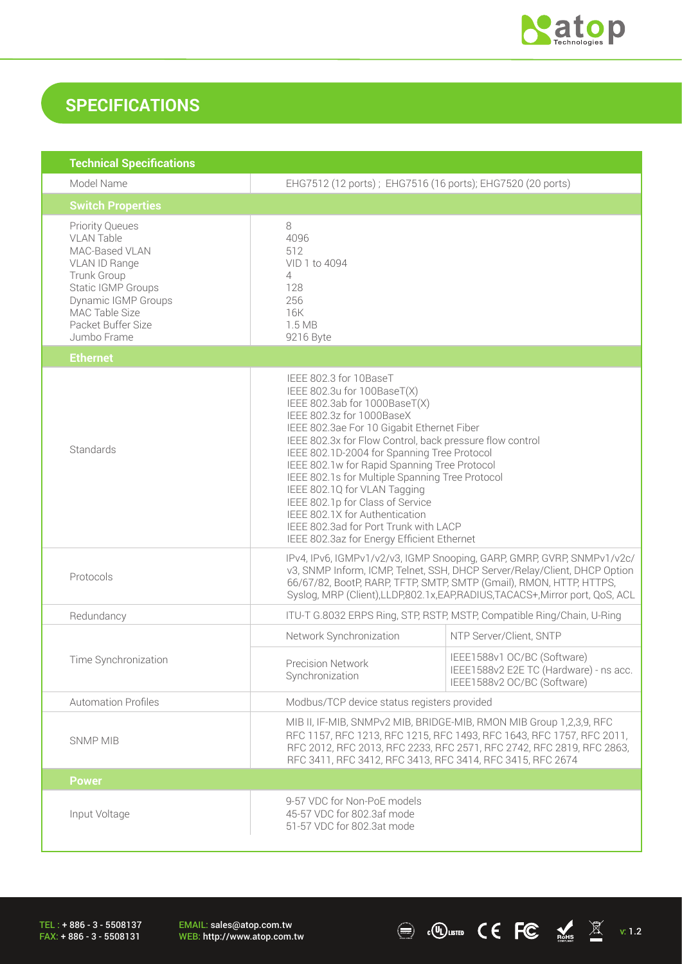

### **SPECIFICATIONS**

| <b>Technical Specifications</b>                                                                                                                                                                   |                                                                                                                                                                                                                                                                                                                                                                                                                                                                                                                                                                              |                                                                                                      |
|---------------------------------------------------------------------------------------------------------------------------------------------------------------------------------------------------|------------------------------------------------------------------------------------------------------------------------------------------------------------------------------------------------------------------------------------------------------------------------------------------------------------------------------------------------------------------------------------------------------------------------------------------------------------------------------------------------------------------------------------------------------------------------------|------------------------------------------------------------------------------------------------------|
| Model Name                                                                                                                                                                                        | EHG7512 (12 ports); EHG7516 (16 ports); EHG7520 (20 ports)                                                                                                                                                                                                                                                                                                                                                                                                                                                                                                                   |                                                                                                      |
| <b>Switch Properties</b>                                                                                                                                                                          |                                                                                                                                                                                                                                                                                                                                                                                                                                                                                                                                                                              |                                                                                                      |
| <b>Priority Queues</b><br><b>VLAN Table</b><br>MAC-Based VLAN<br>VLAN ID Range<br>Trunk Group<br>Static IGMP Groups<br>Dynamic IGMP Groups<br>MAC Table Size<br>Packet Buffer Size<br>Jumbo Frame | 8<br>4096<br>512<br>VID 1 to 4094<br>4<br>128<br>256<br>16K<br>1.5 MB<br>9216 Byte                                                                                                                                                                                                                                                                                                                                                                                                                                                                                           |                                                                                                      |
| <b>Ethernet</b>                                                                                                                                                                                   |                                                                                                                                                                                                                                                                                                                                                                                                                                                                                                                                                                              |                                                                                                      |
| Standards                                                                                                                                                                                         | IEEE 802.3 for 10BaseT<br>IEEE 802.3u for 100BaseT(X)<br>IEEE 802.3ab for 1000BaseT(X)<br>IEEE 802.3z for 1000BaseX<br>IEEE 802.3ae For 10 Gigabit Ethernet Fiber<br>IEEE 802.3x for Flow Control, back pressure flow control<br>IEEE 802.1D-2004 for Spanning Tree Protocol<br>IEEE 802.1w for Rapid Spanning Tree Protocol<br>IEEE 802.1s for Multiple Spanning Tree Protocol<br>IEEE 802.1Q for VLAN Tagging<br>IEEE 802.1p for Class of Service<br>IEEE 802.1X for Authentication<br>IEEE 802.3ad for Port Trunk with LACP<br>IEEE 802.3az for Energy Efficient Ethernet |                                                                                                      |
| Protocols                                                                                                                                                                                         | IPv4, IPv6, IGMPv1/v2/v3, IGMP Snooping, GARP, GMRP, GVRP, SNMPv1/v2c/<br>v3, SNMP Inform, ICMP, Telnet, SSH, DHCP Server/Relay/Client, DHCP Option<br>66/67/82, BootP, RARP, TFTP, SMTP, SMTP (Gmail), RMON, HTTP, HTTPS,<br>Syslog, MRP (Client), LLDP, 802.1x, EAP, RADIUS, TACACS+, Mirror port, QoS, ACL                                                                                                                                                                                                                                                                |                                                                                                      |
| Redundancy                                                                                                                                                                                        | ITU-T G.8032 ERPS Ring, STP, RSTP, MSTP, Compatible Ring/Chain, U-Ring                                                                                                                                                                                                                                                                                                                                                                                                                                                                                                       |                                                                                                      |
|                                                                                                                                                                                                   | Network Synchronization                                                                                                                                                                                                                                                                                                                                                                                                                                                                                                                                                      | NTP Server/Client, SNTP                                                                              |
| Time Synchronization                                                                                                                                                                              | <b>Precision Network</b><br>Synchronization                                                                                                                                                                                                                                                                                                                                                                                                                                                                                                                                  | IEEE1588v1 OC/BC (Software)<br>IEEE1588v2 E2E TC (Hardware) - ns acc.<br>IEEE1588v2 OC/BC (Software) |
| <b>Automation Profiles</b>                                                                                                                                                                        | Modbus/TCP device status registers provided                                                                                                                                                                                                                                                                                                                                                                                                                                                                                                                                  |                                                                                                      |
| <b>SNMP MIB</b>                                                                                                                                                                                   | MIB II, IF-MIB, SNMPv2 MIB, BRIDGE-MIB, RMON MIB Group 1,2,3,9, RFC<br>RFC 1157, RFC 1213, RFC 1215, RFC 1493, RFC 1643, RFC 1757, RFC 2011,<br>RFC 2012, RFC 2013, RFC 2233, RFC 2571, RFC 2742, RFC 2819, RFC 2863,<br>RFC 3411, RFC 3412, RFC 3413, RFC 3414, RFC 3415, RFC 2674                                                                                                                                                                                                                                                                                          |                                                                                                      |
| <b>Power</b>                                                                                                                                                                                      |                                                                                                                                                                                                                                                                                                                                                                                                                                                                                                                                                                              |                                                                                                      |
| Input Voltage                                                                                                                                                                                     | 9-57 VDC for Non-PoE models<br>45-57 VDC for 802.3af mode<br>51-57 VDC for 802.3at mode                                                                                                                                                                                                                                                                                                                                                                                                                                                                                      |                                                                                                      |

TEL : + 886 - 3 - 5508137 FAX: + 886 - 3 - 5508131

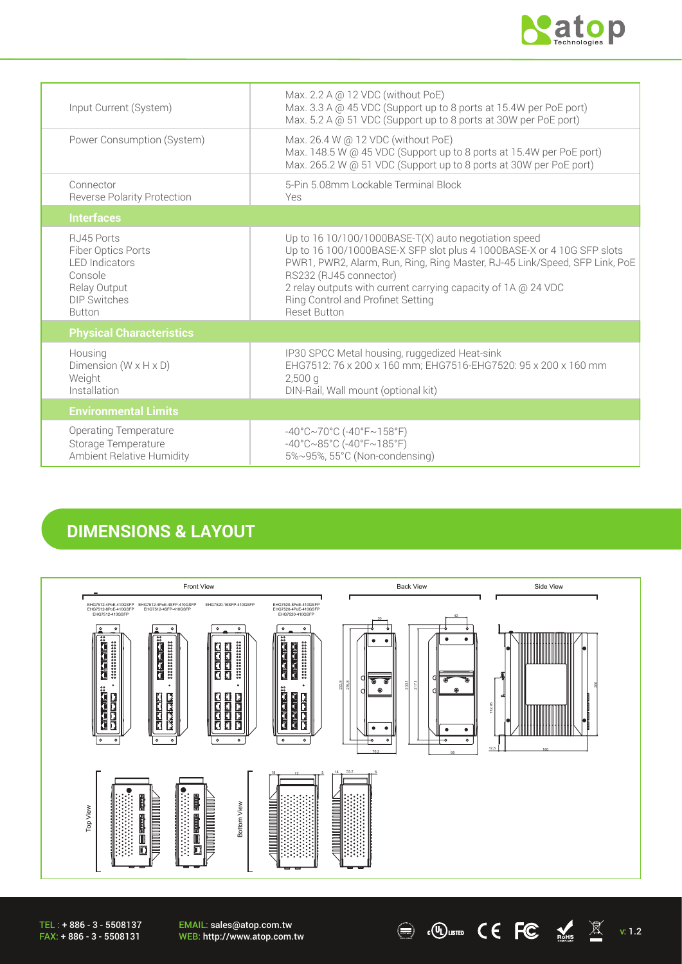

| Input Current (System)                                                                                                        | Max. 2.2 A @ 12 VDC (without PoE)<br>Max. 3.3 A @ 45 VDC (Support up to 8 ports at 15.4W per PoE port)<br>Max. 5.2 A @ 51 VDC (Support up to 8 ports at 30W per PoE port)                                                                                                                                                                                            |
|-------------------------------------------------------------------------------------------------------------------------------|----------------------------------------------------------------------------------------------------------------------------------------------------------------------------------------------------------------------------------------------------------------------------------------------------------------------------------------------------------------------|
| Power Consumption (System)                                                                                                    | Max. 26.4 W @ 12 VDC (without PoE)<br>Max. 148.5 W @ 45 VDC (Support up to 8 ports at 15.4W per PoE port)<br>Max. 265.2 W @ 51 VDC (Support up to 8 ports at 30W per PoE port)                                                                                                                                                                                       |
| Connector<br><b>Reverse Polarity Protection</b>                                                                               | 5-Pin 5.08mm Lockable Terminal Block<br>Yes                                                                                                                                                                                                                                                                                                                          |
| <b>Interfaces</b>                                                                                                             |                                                                                                                                                                                                                                                                                                                                                                      |
| RJ45 Ports<br>Fiber Optics Ports<br><b>I FD Indicators</b><br>Console<br>Relay Output<br><b>DIP Switches</b><br><b>Button</b> | Up to $1610/100/1000$ BASE-T(X) auto negotiation speed<br>Up to 16 100/1000BASE-X SFP slot plus 4 1000BASE-X or 4 10G SFP slots<br>PWR1, PWR2, Alarm, Run, Ring, Ring Master, RJ-45 Link/Speed, SFP Link, PoE<br>RS232 (RJ45 connector)<br>2 relay outputs with current carrying capacity of 1A @ 24 VDC<br>Ring Control and Profinet Setting<br><b>Reset Button</b> |
| <b>Physical Characteristics</b>                                                                                               |                                                                                                                                                                                                                                                                                                                                                                      |
| Housing<br>Dimension ( $W \times H \times D$ )<br>Weight<br>Installation                                                      | IP30 SPCC Metal housing, ruggedized Heat-sink<br>EHG7512: 76 x 200 x 160 mm; EHG7516-EHG7520: 95 x 200 x 160 mm<br>$2,500$ a<br>DIN-Rail, Wall mount (optional kit)                                                                                                                                                                                                  |
| <b>Environmental Limits</b>                                                                                                   |                                                                                                                                                                                                                                                                                                                                                                      |
| <b>Operating Temperature</b><br>Storage Temperature<br>Ambient Relative Humidity                                              | $-40^{\circ}$ C $\sim$ 70°C (-40°F $\sim$ 158°F)<br>$-40^{\circ}$ C $\sim$ 85°C (-40°F $\sim$ 185°F)<br>5%~95%, 55°C (Non-condensing)                                                                                                                                                                                                                                |

### **DIMENSIONS & LAYOUT**



 $\textcircled{\tiny{\textcircled{\tiny{Hsm}}}}$   $\textcircled{\tiny{\textcircled{\tiny{K}}}}$   $\textcircled{\tiny{\textcircled{\tiny{K}}}}$   $\textcircled{\tiny{\textcircled{\tiny{K}}}}$   $\textcircled{\tiny{\textcircled{\tiny{K}}}}$   $\textcircled{\tiny{\textcircled{\tiny{K}}}}$   $\textcircled{\tiny{\textcircled{\tiny{K}}}}$   $\textcircled{\tiny{\textcircled{\tiny{K}}}}$   $\textcircled{\tiny{\textcircled{\tiny{K}}}}$   $\textcircled{\tiny{\textcircled{\tiny{K}}}}$   $\textcircled{\tiny{\textcircled{\tiny{K}}}}$   $\textcircled{\tiny{\textcircled$ 

TEL : + 886 - 3 - 5508137 FAX: + 886 - 3 - 5508131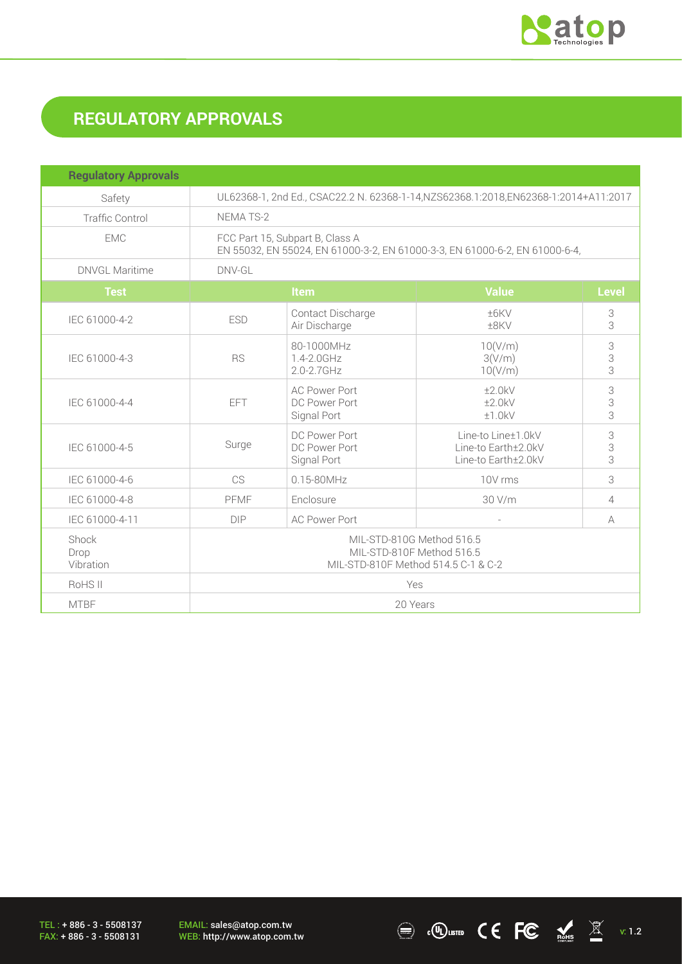

# **REGULATORY APPROVALS**

| <b>Regulatory Approvals</b> |                                                                                                                |                                                      |                                                                  |                |
|-----------------------------|----------------------------------------------------------------------------------------------------------------|------------------------------------------------------|------------------------------------------------------------------|----------------|
| Safety                      | UL62368-1, 2nd Ed., CSAC22.2 N. 62368-1-14, NZS62368.1:2018, EN62368-1:2014+A11:2017                           |                                                      |                                                                  |                |
| <b>Traffic Control</b>      | NEMA TS-2                                                                                                      |                                                      |                                                                  |                |
| <b>EMC</b>                  | FCC Part 15, Subpart B, Class A<br>EN 55032, EN 55024, EN 61000-3-2, EN 61000-3-3, EN 61000-6-2, EN 61000-6-4, |                                                      |                                                                  |                |
| <b>DNVGL Maritime</b>       | DNV-GL                                                                                                         |                                                      |                                                                  |                |
| <b>Test</b>                 |                                                                                                                | Item                                                 | <b>Value</b>                                                     | <b>Level</b>   |
| IEC 61000-4-2               | <b>ESD</b>                                                                                                     | Contact Discharge<br>Air Discharge                   | ±6KV<br>±8KV                                                     | 3<br>3         |
| IEC 61000-4-3               | <b>RS</b>                                                                                                      | 80-1000MHz<br>1.4-2.0GHz<br>$2.0 - 2.7$ GHz          | 10(V/m)<br>3(V/m)<br>10(V/m)                                     | 3<br>3<br>3    |
| IEC 61000-4-4               | <b>EFT</b>                                                                                                     | <b>AC Power Port</b><br>DC Power Port<br>Signal Port | ±2.0kV<br>±2.0kV<br>±1.0kV                                       | 3<br>3<br>3    |
| IEC 61000-4-5               | Surge                                                                                                          | DC Power Port<br>DC Power Port<br>Signal Port        | Line-to Line±1.0kV<br>Line-to Earth±2.0kV<br>Line-to Earth±2.0kV | 3<br>3<br>3    |
| IEC 61000-4-6               | <b>CS</b>                                                                                                      | $0.15 - 80$ MHz                                      | 10V rms                                                          | 3              |
| IEC 61000-4-8               | PFMF                                                                                                           | Enclosure                                            | 30 V/m                                                           | $\overline{4}$ |
| IEC 61000-4-11              | <b>DIP</b>                                                                                                     | <b>AC Power Port</b>                                 |                                                                  | A              |
| Shock<br>Drop<br>Vibration  | MIL-STD-810G Method 516.5<br>MIL-STD-810F Method 516.5<br>MIL-STD-810F Method 514.5 C-1 & C-2                  |                                                      |                                                                  |                |
| RoHS II                     | Yes                                                                                                            |                                                      |                                                                  |                |
| <b>MTBF</b>                 | 20 Years                                                                                                       |                                                      |                                                                  |                |

TEL : + 886 - 3 - 5508137 FAX: + 886 - 3 - 5508131

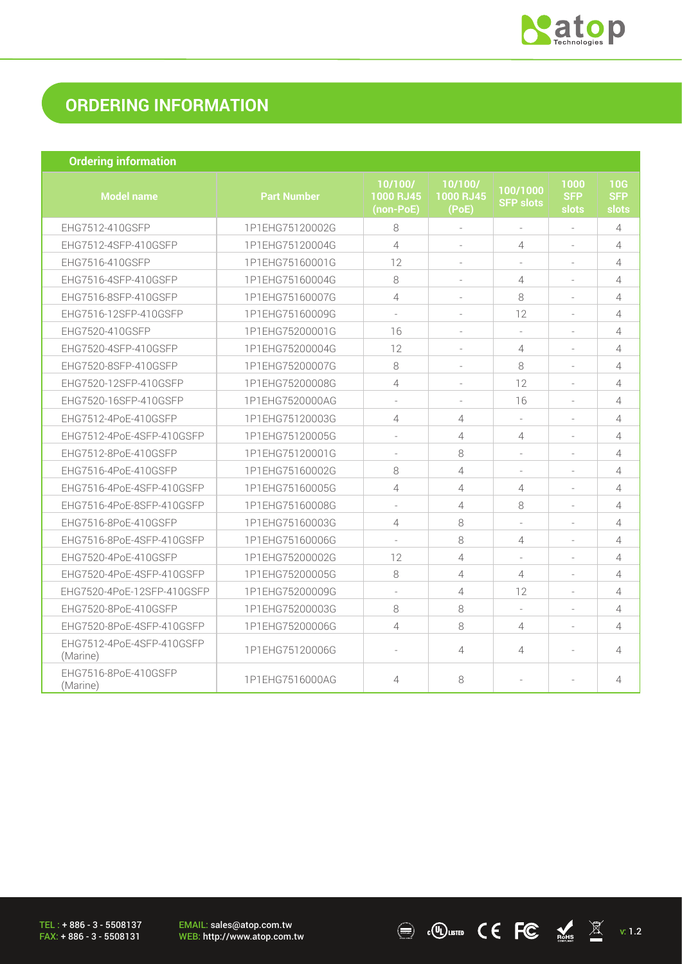

 $\overline{\text{C}}$  .  $\overline{\text{C}}$   $\overline{\text{C}}$   $\overline{\text{C}}$   $\overline{\text{C}}$   $\overline{\text{C}}$   $\overline{\text{C}}$   $\overline{\text{C}}$   $\overline{\text{C}}$   $\overline{\text{C}}$   $\overline{\text{C}}$   $\overline{\text{C}}$   $\overline{\text{C}}$   $\overline{\text{C}}$   $\overline{\text{C}}$   $\overline{\text{C}}$   $\overline{\text{C}}$   $\overline{\text{C}}$   $\overline{\text{C}}$   $\overline{\text{C}}$ 

## **ORDERING INFORMATION**

| <b>Ordering information</b>           |                    |                                   |                               |                              |                             |                            |
|---------------------------------------|--------------------|-----------------------------------|-------------------------------|------------------------------|-----------------------------|----------------------------|
| <b>Model name</b>                     | <b>Part Number</b> | 10/100/<br>1000 RJ45<br>(non-PoE) | 10/100/<br>1000 RJ45<br>(PoE) | 100/1000<br><b>SFP slots</b> | 1000<br><b>SFP</b><br>slots | 10G<br><b>SFP</b><br>slots |
| EHG7512-410GSFP                       | 1P1EHG75120002G    | 8                                 | $\bar{\phantom{a}}$           | $\bar{a}$                    | $\bar{a}$                   | 4                          |
| EHG7512-4SFP-410GSFP                  | 1P1EHG75120004G    | $\overline{4}$                    |                               | $\overline{4}$               |                             | $\overline{4}$             |
| EHG7516-410GSFP                       | 1P1EHG75160001G    | 12                                |                               |                              |                             | $\overline{4}$             |
| EHG7516-4SFP-410GSFP                  | 1P1EHG75160004G    | 8                                 |                               | $\overline{4}$               |                             | 4                          |
| EHG7516-8SFP-410GSFP                  | 1P1EHG75160007G    | 4                                 | $\sim$                        | 8                            | $\sim$                      | $\overline{4}$             |
| EHG7516-12SFP-410GSFP                 | 1P1EHG75160009G    | $\overline{\phantom{a}}$          | $\equiv$                      | 12                           | $\overline{\phantom{a}}$    | $\overline{4}$             |
| EHG7520-410GSFP                       | 1P1EHG75200001G    | 16                                |                               |                              |                             | $\overline{4}$             |
| EHG7520-4SFP-410GSFP                  | 1P1EHG75200004G    | 12                                | ÷,                            | $\overline{4}$               |                             | $\overline{4}$             |
| EHG7520-8SFP-410GSFP                  | 1P1EHG75200007G    | 8                                 | ÷                             | 8                            |                             | 4                          |
| EHG7520-12SFP-410GSFP                 | 1P1EHG75200008G    | 4                                 | ÷                             | 12                           | $\sim$                      | $\overline{4}$             |
| EHG7520-16SFP-410GSFP                 | 1P1EHG7520000AG    | $\sim$                            | $\sim$                        | 16                           | $\sim$                      | 4                          |
| EHG7512-4PoE-410GSFP                  | 1P1EHG75120003G    | 4                                 | $\overline{4}$                |                              |                             | $\overline{4}$             |
| EHG7512-4PoE-4SFP-410GSFP             | 1P1EHG75120005G    | $\overline{\phantom{a}}$          | $\overline{4}$                | $\overline{4}$               | $\overline{\phantom{a}}$    | 4                          |
| EHG7512-8PoE-410GSFP                  | 1P1EHG75120001G    | $\sim$                            | 8                             |                              |                             | 4                          |
| EHG7516-4PoE-410GSFP                  | 1P1EHG75160002G    | 8                                 | 4                             |                              |                             | $\overline{4}$             |
| EHG7516-4PoE-4SFP-410GSFP             | 1P1EHG75160005G    | 4                                 | $\overline{4}$                | $\overline{4}$               | $\sim$                      | $\overline{4}$             |
| EHG7516-4PoE-8SFP-410GSFP             | 1P1EHG75160008G    | $\sim$                            | $\overline{4}$                | 8                            |                             | $\overline{4}$             |
| EHG7516-8PoE-410GSFP                  | 1P1EHG75160003G    | 4                                 | 8                             | $\overline{\phantom{a}}$     |                             | $\overline{4}$             |
| EHG7516-8PoE-4SFP-410GSFP             | 1P1EHG75160006G    |                                   | 8                             | $\overline{4}$               |                             | $\overline{4}$             |
| EHG7520-4PoE-410GSFP                  | 1P1EHG75200002G    | 12                                | $\overline{4}$                |                              | $\sim$                      | $\overline{4}$             |
| EHG7520-4PoE-4SFP-410GSFP             | 1P1EHG75200005G    | 8                                 | $\overline{4}$                | $\overline{4}$               | $\sim$                      | $\overline{4}$             |
| EHG7520-4PoE-12SFP-410GSFP            | 1P1EHG75200009G    | $\overline{\phantom{a}}$          | $\overline{4}$                | 12                           | $\overline{\phantom{a}}$    | $\overline{4}$             |
| EHG7520-8PoE-410GSFP                  | 1P1EHG75200003G    | 8                                 | 8                             | ÷.                           | $\sim$                      | 4                          |
| EHG7520-8PoE-4SFP-410GSFP             | 1P1EHG75200006G    | 4                                 | 8                             | $\overline{4}$               |                             | 4                          |
| EHG7512-4PoE-4SFP-410GSFP<br>(Marine) | 1P1EHG75120006G    | $\sim$                            | $\overline{4}$                | $\overline{4}$               |                             | 4                          |
| EHG7516-8PoE-410GSFP<br>(Marine)      | 1P1EHG7516000AG    | $\overline{4}$                    | 8                             | ٠                            |                             | 4                          |

TEL : + 886 - 3 - 5508137 FAX: + 886 - 3 - 5508131